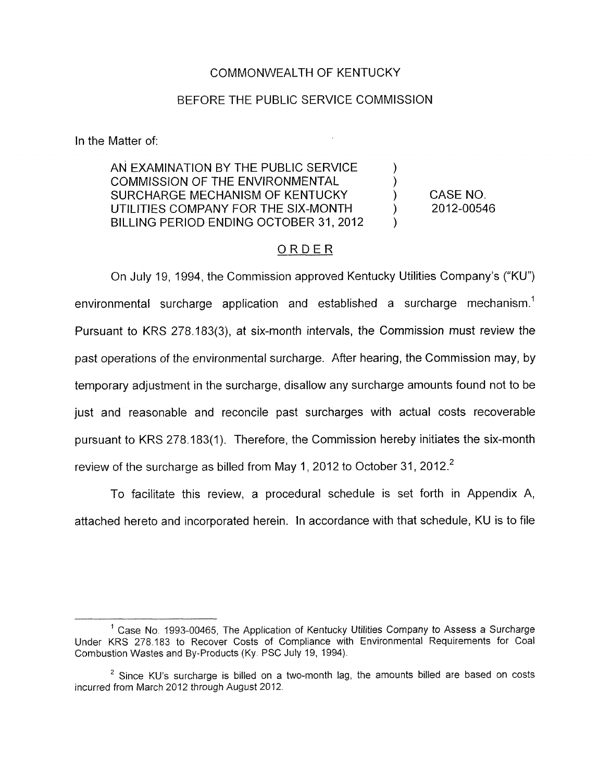### COMMONWEALTH OF KENTUCKY

#### BEFORE THE PUBLIC SERVICE COMMISSION

In the Matter of:

AN EXAMINATION BY THE PUBLIC SERVICE  $\qquad \qquad$  ) COMMISSION OF THE ENVIRONMENTAL SURCHARGE MECHANISM OF KENTUCKY (CASE NO. UTILITIES COMPANY FOR THE SIX-MONTH  $\qquad \qquad$  2012-00546 BILLING PERIOD ENDING OCTOBER 31, 2012

### ORDER

On July 19, 1994, the Commission approved Kentucky Utilities Company's ("KU") environmental surcharge application and established a surcharge mechanism.<sup>1</sup> Pursuant to KRS 278.183(3), at six-month intervals, the Commission must review the past operations of the environmental surcharge. After hearing, the Commission may, by temporary adjustment in the surcharge, disallow any surcharge amounts found not to be just and reasonable and reconcile past surcharges with actual costs recoverable pursuant to KRS 278.183(1). Therefore, the Commission hereby initiates the six-month review of the surcharge as billed from May 1, 2012 to October 31, 2012.<sup>2</sup>

To facilitate this review, a procedural schedule is set forth in Appendix A, attached hereto and incorporated herein. In accordance with that schedule, KU is to file

<sup>&</sup>lt;sup>1</sup> Case No. 1993-00465, The Application of Kentucky Utilities Company to Assess a Surcharge Under KRS 278.183 to Recover Costs of Compliance with Environmental Requirements for Coal Combustion Wastes and By-Products (Ky. PSC July 19, 1994).

Since KU's surcharge is billed on a two-month lag, the amounts billed are based on costs **<sup>2</sup>** incurred from March 2012 through August 2012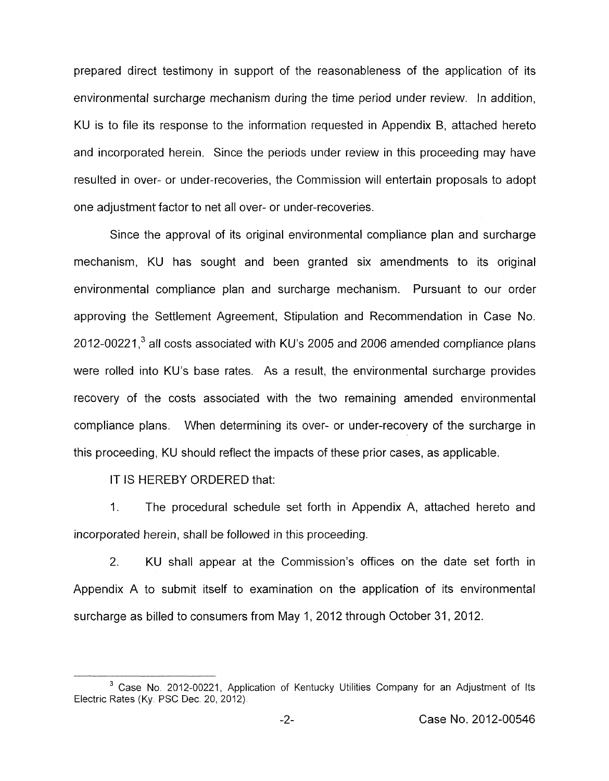prepared direct testimony in support of the reasonableness of the application of its environmental surcharge mechanism during the time period under review. In addition, KU is to file its response to the information requested in Appendix B, attached hereto and incorporated herein. Since the periods under review in this proceeding may have resulted in over- or under-recoveries, the Commission will entertain proposals to adopt one adjustment factor to net all over- or under-recoveries.

Since the approval of its original environmental compliance plan and surcharge mechanism, KU has sought and been granted six amendments to its original environmental compliance plan and surcharge mechanism. Pursuant to our order approving the Settlement Agreement, Stipulation and Recommendation in Case No. 2012-00221 **,3** all costs associated with KU's 2005 and 2006 amended compliance plans were rolled into KU's base rates. As a result, the environmental surcharge provides recovery of the costs associated with the two remaining amended environmental compliance plans. When determining its over- or under-recovery of the surcharge in this proceeding, KU should reflect the impacts of these prior cases, as applicable.

IT IS HEREBY ORDERED that:

I. The procedural schedule set forth in Appendix A, attached hereto and incorporated herein, shall be followed in this proceeding.

2. KU shall appear at the Commission's offices on the date set forth in Appendix A to submit itself to examination on the application of its environmental surcharge as billed to consumers from May 1, 2012 through October 31, 2012.

<sup>&</sup>lt;sup>3</sup> Case No. 2012-00221, Application of Kentucky Utilities Company for an Adjustment of Its Electric Rates (Ky. PSC Dec. 20, 2012).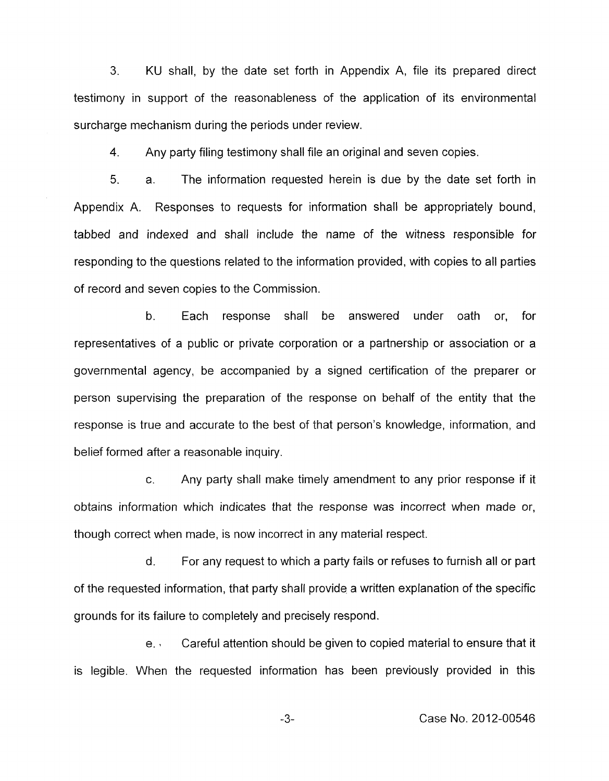*3.* KU shall, by the date set forth in Appendix A, file its prepared direct testimony in support of the reasonableness of the application of its environmental surcharge mechanism during the periods under review.

**4.**  Any party filing testimony shall file an original and seven copies.

5. a. The information requested herein is due by the date set forth in Appendix A. Responses to requests for information shall be appropriately bound, tabbed and indexed and shall include the name of the witness responsible for responding to the questions related to the information provided, with copies to all parties of record and seven copies to the Commission.

b. Each response shall be answered under oath or, for representatives of a public or private corporation or a partnership or association or a governmental agency, be accompanied by a signed certification of the preparer or person supervising the preparation of the response on behalf of the entity that the response is true and accurate to the best of that person's knowledge, information, and belief formed after a reasonable inquiry.

c. Any party shall make timely amendment to any prior response if it obtains information which indicates that the response was incorrect when made or, though correct when made, is now incorrect in any material respect.

d. For any request to which a party fails or refuses to furnish all or part of the requested information, that party shall provide a written explanation of the specific grounds for its failure to completely and precisely respond.

e. Careful attention should be given to copied material to ensure that it is legible. When the requested information has been previously provided in this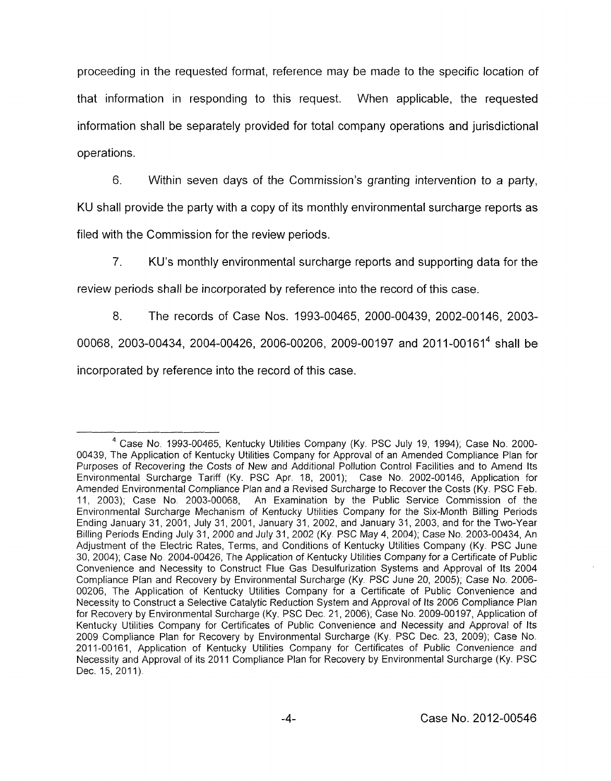proceeding in the requested format, reference may be made to the specific location of that information in responding to this request. When applicable, the requested information shall be separately provided for total company operations and jurisdictional operations.

6. Within seven days of the Commission's granting intervention to a party, KU shall provide the party with a copy of its monthly environmental surcharge reports as filed with the Commission for the review periods.

*7.* KU's monthly environmental surcharge reports and supporting data for the

review periods shall be incorporated by reference into the record of this case.

8. The records of Case Nos. 1993-00465, 2000-00439, 2002-00146, 2003- 00068, 2003-00434, 2004-00426, 2006-00206, 2009-00197 and 2011-00161<sup>4</sup> shall be incorporated by reference into the record of this case.

Case No. 1993-00465, Kentucky Utilities Company (Ky. PSC July 19, 1994); Case No. 2000- **4**  00439, The Application of Kentucky Utilities Company for Approval of an Amended Compliance Plan for Purposes of Recovering the Costs of New and Additional Pollution Control Facilities and to Amend Its Environmental Surcharge Tariff (Ky. PSC Apr. 18, 2001); Case No. 2002-00146, Application for Amended Environmental Compliance Plan and a Revised Surcharge to Recover the Costs (Ky, PSC Feb. 11, 2003); Case No. 2003-00068, An Examination by the Public Service Commission of the Environmental Surcharge Mechanism of Kentucky Utilities Company for the Six-Month Billing Periods Ending January 31, 2001, July 31, 2001, January 31, 2002, and January 31, 2003, and for the Two-Year Billing Periods Ending July 31, 2000 and July 31, 2002 (Ky. PSC May **4,** 2004); Case No. 2003-00434, An Adjustment of the Electric Rates, Terms, and Conditions of Kentucky Utilities Company (Ky. PSC June 30, 2004); Case No 2004-00426, The Application of Kentucky Utilities Company for a Certificate of Public Convenience and Necessity to Construct Flue Gas Desulfurization Systems and Approval of Its 2004 Compliance Plan and Recovery by Environmental Surcharge (Ky PSC June 20, 2005); Case No. 2006- 00206, The Application of Kentucky Utilities Company for a Certificate of Public Convenience and Necessity to Construct a Selective Catalytic Reduction System and Approval of Its 2006 Compliance Plan for Recovery by Environmental Surcharge (Ky. PSC Dec. 21, 2006); Case No. 2009-00197, Application of Kentucky Utilities Company for Certificates of Public Convenience and Necessity and Approval of Its 2009 Compliance Plan for Recovery by Environmental Surcharge (Ky. PSC Dec. 23, 2009); Case No. 2011-00161, Application of Kentucky Utilities Company for Certificates of Public Convenience and Necessity and Approval of its 2011 Compliance Plan for Recovery by Environmental Surcharge (Ky. PSC Dec. 15, 2011).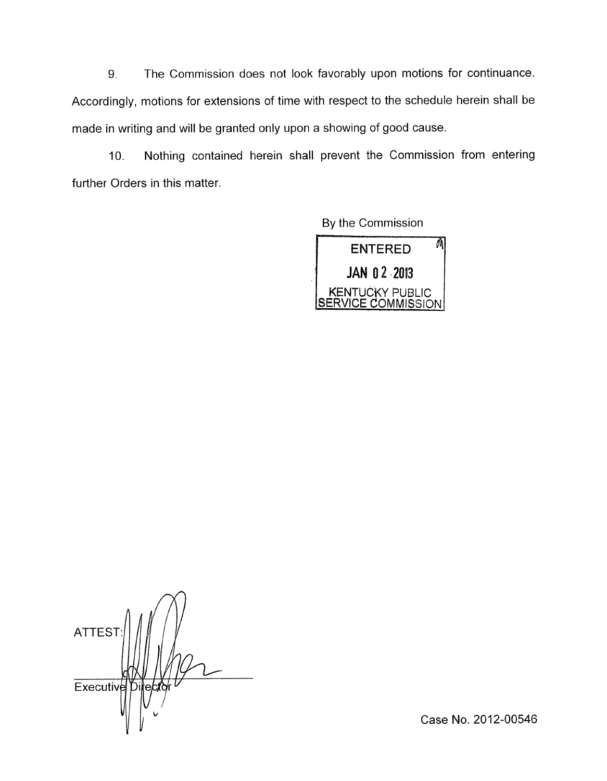9. The Commission does not look favorably upon motions for continuance. Accordingly, motions for extensions of time with respect to the schedule herein shall be made in writing and will be granted only upon a showing of good cause.

10. Nothing contained herein shall prevent the Commission from entering further Orders in this matter.

By the Commission



ATTES<sup>®</sup> Executive

Case No. 2012-00546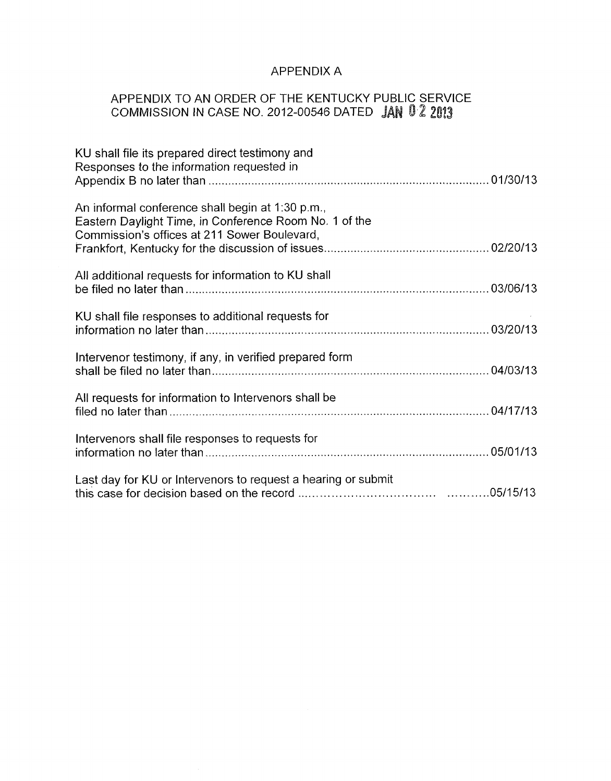# APPENDIX A

### APPENDIX TO AN ORDER OF THE KENTUCKY PUBLIC SERVICE COMMISSION IN CASE NO. 2012-00546 DATED **JA**

| KU shall file its prepared direct testimony and<br>Responses to the information requested in                                                               |  |
|------------------------------------------------------------------------------------------------------------------------------------------------------------|--|
| An informal conference shall begin at 1:30 p.m.,<br>Eastern Daylight Time, in Conference Room No. 1 of the<br>Commission's offices at 211 Sower Boulevard, |  |
| All additional requests for information to KU shall                                                                                                        |  |
| KU shall file responses to additional requests for                                                                                                         |  |
| Intervenor testimony, if any, in verified prepared form                                                                                                    |  |
| All requests for information to Intervenors shall be                                                                                                       |  |
| Intervenors shall file responses to requests for                                                                                                           |  |
| Last day for KU or Intervenors to request a hearing or submit                                                                                              |  |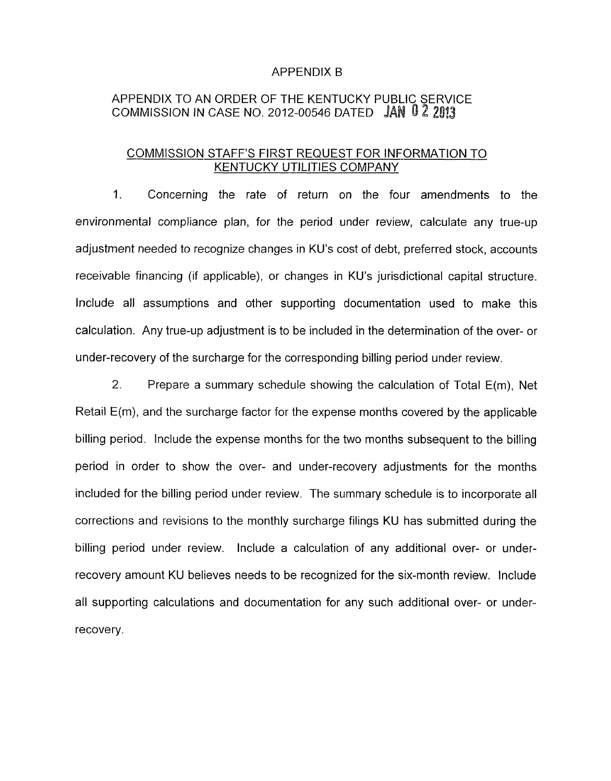#### APPENDIX B

# APPENDIX TO AN ORDER OF THE KENTUCKY PUBLIC SERVICE COMMISSION IN CASE NO. 2012-00546 DATED  $\left\| \text{AN } \text{U Z } 2013 \right\|$

## COMMISSION STAFF'S FIRST REQUEST FOR INFORMATION TO KENTUCKY UTILITIES COMPANY

1. Concerning the rate of return on the four amendments to the environmental compliance plan, for the period under review, calculate any true-up adjustment needed to recognize changes in KU's cost of debt, preferred stock, accounts receivable financing (if applicable), or changes in KU's jurisdictional capital structure. Include all assumptions and other supporting documentation used to make this calculation. Any true-up adjustment is to be included in the determination of the over- or under-recovery of the surcharge for the corresponding billing period under review.

*2.* Prepare a summary schedule showing the calculation of Total E(m), Net Retail E(m), and the surcharge factor for the expense months covered by the applicable billing period. Include the expense months for the two months subsequent to the billing period in order to show the over- and under-recovery adjustments for the months included for the billing period under review. The summary schedule is to incorporate all corrections and revisions to the monthly surcharge filings KU has submitted during the billing period under review. Include a calculation of any additional over- or underrecovery amount KU believes needs to be recognized for the six-month review. Include all supporting calculations and documentation for any such additional over- or underrecovery.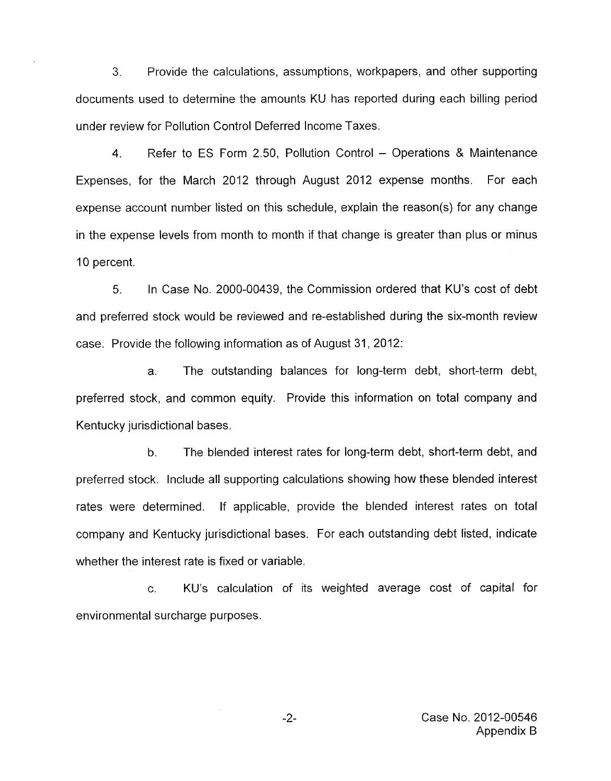3. Provide the calculations, assumptions, workpapers, and other supporting documents used to determine the amounts KU has reported during each billing period under review for Pollution Control Deferred Income Taxes.

4. Refer to ES Form 2.50, Pollution Control - Operations & Maintenance Expenses, for the March 2012 through August 2012 expense months. For each expense account number listed on this schedule, explain the reason(s) for any change in the expense levels from month to month if that change is greater than plus or minus 10 percent.

*5.* In Case No. 2000-00439, the Commission ordered that KU's cost of debt and preferred stock would be reviewed and re-established during the six-month review case. Provide the following information as of August 31, 2012:

a. The outstanding balances for long-term debt, short-term debt, preferred stock, and common equity. Provide this information on total company and Kentucky jurisdictional bases.

b. The blended interest rates for long-term debt, short-term debt, and preferred stock. Include all supporting calculations showing how these blended interest rates were determined. If applicable, provide the blended interest rates on total company and Kentucky jurisdictional bases. For each outstanding debt listed, indicate whether the interest rate is fixed or variable.

c. KU's calculation of its weighted average cost of capital for environmental surcharge purposes.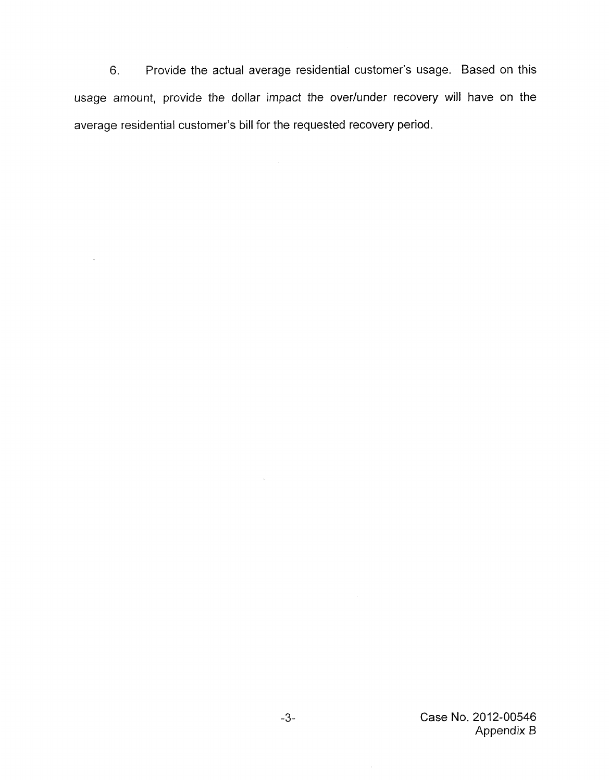6. Provide the actual average residential customer's usage. Based on this usage amount, provide the dollar impact the over/under recovery will have on the average residential customer's bill for the requested recovery period.

 $\ddot{\phantom{a}}$